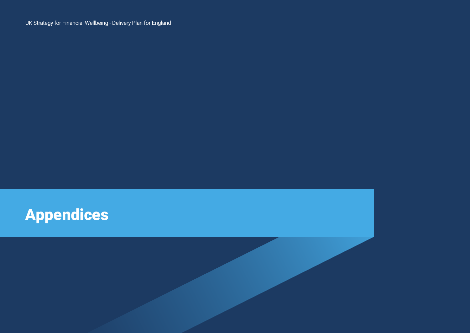UK Strategy for Financial Wellbeing - Delivery Plan for England

# **Appendices**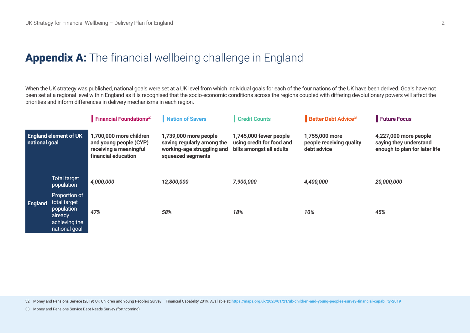# Appendix A: The financial wellbeing challenge in England

When the UK strategy was published, national goals were set at a UK level from which individual goals for each of the four nations of the UK have been derived. Goals have not been set at a regional level within England as it is recognised that the socio-economic conditions across the regions coupled with differing devolutionary powers will affect the priorities and inform differences in delivery mechanisms in each region.

|                                               |                                                                                          | <b>Financial Foundations</b> <sup>32</sup>                                                         | Nation of Savers                                                                                       | <b>Credit Counts</b>                                                            | <b>Better Debt Advice<sup>33</sup></b>                    | Future Focus                                                                     |
|-----------------------------------------------|------------------------------------------------------------------------------------------|----------------------------------------------------------------------------------------------------|--------------------------------------------------------------------------------------------------------|---------------------------------------------------------------------------------|-----------------------------------------------------------|----------------------------------------------------------------------------------|
| <b>England element of UK</b><br>national goal |                                                                                          | 1,700,000 more children<br>and young people (CYP)<br>receiving a meaningful<br>financial education | 1,739,000 more people<br>saving regularly among the<br>working-age struggling and<br>squeezed segments | 1,745,000 fewer people<br>using credit for food and<br>bills amongst all adults | 1,755,000 more<br>people receiving quality<br>debt advice | 4,227,000 more people<br>saying they understand<br>enough to plan for later life |
| <b>England</b>                                | <b>Total target</b><br>population                                                        | 4,000,000                                                                                          | 12,800,000                                                                                             | 7,900,000                                                                       | 4,400,000                                                 | 20,000,000                                                                       |
|                                               | Proportion of<br>total target<br>population<br>already<br>achieving the<br>national goal | 47%                                                                                                | 58%                                                                                                    | 18%                                                                             | 10%                                                       | 45%                                                                              |

32 Money and Pensions Service (2019) UK Children and Young People's Survey – Financial Capability 2019. Available at: **<https://maps.org.uk/2020/01/21/uk-children-and-young-peoples-survey-financial-capability-2019>**

33 Money and Pensions Service Debt Needs Survey (forthcoming)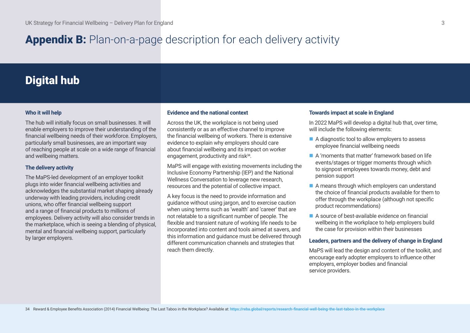# Appendix B: Plan-on-a-page description for each delivery activity

# Digital hub

# **Who it will help**

The hub will initially focus on small businesses. It will enable employers to improve their understanding of the financial wellbeing needs of their workforce. Employers, particularly small businesses, are an important way of reaching people at scale on a wide range of financial and wellbeing matters.

# **The delivery activity**

The MaPS-led development of an employer toolkit plugs into wider financial wellbeing activities and acknowledges the substantial market shaping already underway with leading providers, including credit unions, who offer financial wellbeing support and a range of financial products to millions of employees. Delivery activity will also consider trends in the marketplace, which is seeing a blending of physical, mental and financial wellbeing support, particularly by larger employers.

# **Evidence and the national context**

Across the UK, the workplace is not being used consistently or as an effective channel to improve the financial wellbeing of workers. There is extensive evidence to explain why employers should care about financial wellbeing and its impact on worker engagement, productivity and risk<sup>34</sup>.

MaPS will engage with existing movements including the Inclusive Economy Partnership (IEP) and the National Wellness Conversation to leverage new research, resources and the potential of collective impact.

A key focus is the need to provide information and guidance without using jargon, and to exercise caution when using terms such as 'wealth' and 'career' that are not relatable to a significant number of people. The flexible and transient nature of working life needs to be incorporated into content and tools aimed at savers, and this information and guidance must be delivered through different communication channels and strategies that reach them directly.

# **Towards impact at scale in England**

In 2022 MaPS will develop a digital hub that, over time, will include the following elements:

- $\blacksquare$  A diagnostic tool to allow employers to assess employee financial wellbeing needs
- n A 'moments that matter' framework based on life events/stages or trigger moments through which to signpost employees towards money, debt and pension support
- $\blacksquare$  A means through which employers can understand the choice of financial products available for them to offer through the workplace (although not specific product recommendations)
- $\blacksquare$  A source of best-available evidence on financial wellbeing in the workplace to help employers build the case for provision within their businesses

# **Leaders, partners and the delivery of change in England**

MaPS will lead the design and content of the toolkit, and encourage early adopter employers to influence other employers, employer bodies and financial service providers.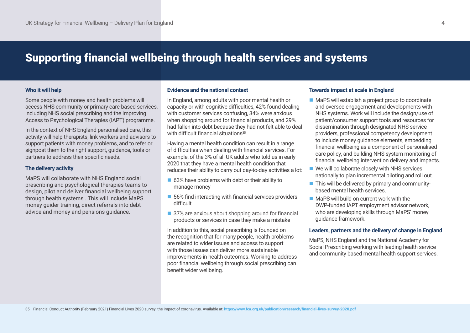# Supporting financial wellbeing through health services and systems

# **Who it will help**

Some people with money and health problems will access NHS community or primary care-based services, including NHS social prescribing and the Improving Access to Psychological Therapies (IAPT) programme.

In the context of NHS England personalised care, this activity will help therapists, link workers and advisors to support patients with money problems, and to refer or signpost them to the right support, guidance, tools or partners to address their specific needs.

# **The delivery activity**

MaPS will collaborate with NHS England social prescribing and psychological therapies teams to design, pilot and deliver financial wellbeing support through health systems . This will include MaPS money guider training, direct referrals into debt advice and money and pensions guidance.

#### **Evidence and the national context**

In England, among adults with poor mental health or capacity or with cognitive difficulties, 42% found dealing with customer services confusing, 34% were anxious when shopping around for financial products, and 29% had fallen into debt because they had not felt able to deal with difficult financial situations<sup>35</sup>

Having a mental health condition can result in a range of difficulties when dealing with financial services. For example, of the 3% of all UK adults who told us in early 2020 that they have a mental health condition that reduces their ability to carry out day-to-day activities a lot:

- $\blacksquare$  63% have problems with debt or their ability to manage money
- $\blacksquare$  56% find interacting with financial services providers difficult
- 37% are anxious about shopping around for financial products or services in case they make a mistake

In addition to this, social prescribing is founded on the recognition that for many people, health problems are related to wider issues and access to support with those issues can deliver more sustainable improvements in health outcomes. Working to address poor financial wellbeing through social prescribing can benefit wider wellbeing.

### **Towards impact at scale in England**

- MaPS will establish a project group to coordinate and oversee engagement and developments with NHS systems. Work will include the design/use of patient/consumer support tools and resources for dissemination through designated NHS service providers, professional competency development to include money guidance elements, embedding financial wellbeing as a component of personalised care policy, and building NHS system monitoring of financial wellbeing intervention delivery and impacts.
- $\blacksquare$  We will collaborate closely with NHS services nationally to plan incremental piloting and roll out.
- **n** This will be delivered by primary and communitybased mental health services.
- $\blacksquare$  MaPS will build on current work with the DWP-funded IAPT employment advisor network, who are developing skills through MaPS' money guidance framework.

# **Leaders, partners and the delivery of change in England**

MaPS, NHS England and the National Academy for Social Prescribing working with leading health service and community based mental health support services.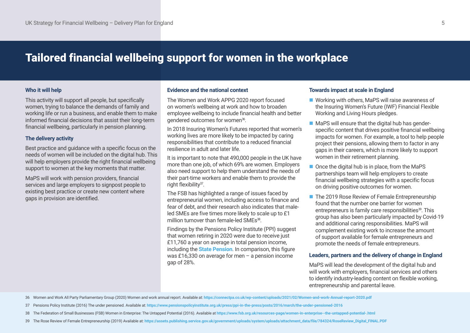# Tailored financial wellbeing support for women in the workplace

#### **Who it will help**

This activity will support all people, but specifically women, trying to balance the demands of family and working life or run a business, and enable them to make informed financial decisions that assist their long-term financial wellbeing, particularly in pension planning.

#### **The delivery activity**

Best practice and guidance with a specific focus on the needs of women will be included on the digital hub. This will help employers provide the right financial wellbeing support to women at the key moments that matter.

MaPS will work with pension providers, financial services and large employers to signpost people to existing best practice or create new content where gaps in provision are identified.

#### **Evidence and the national context**

The Women and Work APPG 2020 report focused on women's wellbeing at work and how to broaden employee wellbeing to include financial health and better gendered outcomes for women<sup>36</sup>.

In 2018 Insuring Women's Futures reported that women's working lives are more likely to be impacted by caring responsibilities that contribute to a reduced financial resilience in adult and later life.

It is important to note that 490,000 people in the UK have more than one job, of which 69% are women. Employers also need support to help them understand the needs of their part-time workers and enable them to provide the right flexibility<sup>37</sup>.

The FSB has highlighted a range of issues faced by entrepreneurial women, including access to finance and fear of debt, and their research also indicates that maleled SMEs are five times more likely to scale up to £1 million turnover than female-led SMEs<sup>38</sup>.

Findings by the Pensions Policy Institute (PPI) suggest that women retiring in 2020 were due to receive just £11,760 a year on average in total pension income, including the **[State Pension](https://www.express.co.uk/latest/state-pension)**. In comparison, this figure was £16,330 on average for men – a pension income gap of 28%.

### **Towards impact at scale in England**

- $\blacksquare$  Working with others, MaPS will raise awareness of the Insuring Women's Future (IWF) Financial Flexible Working and Living Hours pledges.
- $\blacksquare$  MaPS will ensure that the digital hub has genderspecific content that drives positive financial wellbeing impacts for women. For example, a tool to help people project their pensions, allowing them to factor in any gaps in their careers, which is more likely to support women in their retirement planning.
- $\blacksquare$  Once the digital hub is in place, from the MaPS partnerships team will help employers to create financial wellbeing strategies with a specific focus on driving positive outcomes for women.
- The 2019 Rose Review of Female Entrepreneurship found that the number one barrier for women entrepreneurs is family care responsibilities<sup>39</sup>. This group has also been particularly impacted by Covid-19 and additional caring responsibilities. MaPS will complement existing work to increase the amount of support available for female entrepreneurs and promote the needs of female entrepreneurs.

### **Leaders, partners and the delivery of change in England**

MaPS will lead the development of the digital hub and will work with employers, financial services and others to identify industry-leading content on flexible working, entrepreneurship and parental leave.

36 Women and Work All Party Parliamentary Group (2020) Women and work annual report. Available at: **<https://connectpa.co.uk/wp-content/uploads/2021/02/Women-and-work-Annual-report-2020.pdf>**

- 37 Pensions Policy Institute (2016) The under pensioned. Available at: **<https://www.pensionspolicyinstitute.org.uk/press/ppi-in-the-press/posts/2016/march/the-under-pensioned-2016>**
- 38 The Federation of Small Businesses (FSB) Women in Enterprise: The Untapped Potential (2016). Available at **<https://www.fsb.org.uk/resources-page/women-in-enterprise--the-untapped-potential-.html>**
- 39 The Rose Review of Female Entrepreneurship (2019) Available at: **[https://assets.publishing.service.gov.uk/government/uploads/system/uploads/attachment\\_data/file/784324/RoseReview\\_Digital\\_FINAL.PDF](https://assets.publishing.service.gov.uk/government/uploads/system/uploads/attachment_data/file/784324/RoseReview_Digital_FINAL.PDF)**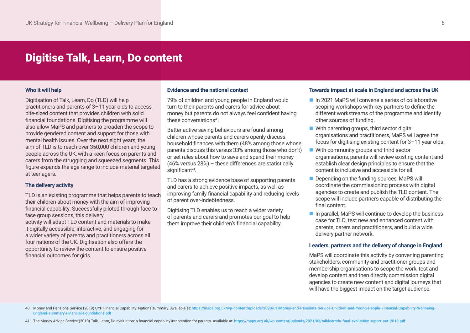# Digitise Talk, Learn, Do content

#### **Who it will help**

Digitisation of Talk, Learn, Do (TLD) will help practitioners and parents of 3–11 year olds to access bite-sized content that provides children with solid financial foundations. Digitising the programme will also allow MaPS and partners to broaden the scope to provide gendered content and support for those with mental health issues. Over the next eight years, the aim of TLD is to reach over 350,000 children and young people across the UK, with a keen focus on parents and carers from the struggling and squeezed segments. This figure expands the age range to include material targeted at teenagers.

#### **The delivery activity**

TLD is an existing programme that helps parents to teach their children about money with the aim of improving financial capability. Successfully piloted through face-toface group sessions, this delivery activity will adapt TLD content and materials to make it digitally accessible, interactive, and engaging for a wider variety of parents and practitioners across all four nations of the UK. Digitisation also offers the opportunity to review the content to ensure positive financial outcomes for girls.

#### **Evidence and the national context**

79% of children and young people in England would turn to their parents and carers for advice about money but parents do not always feel confident having these conversations<sup>40</sup>

Better active saving behaviours are found among children whose parents and carers openly discuss household finances with them (48% among those whose parents discuss this versus 33% among those who don't) or set rules about how to save and spend their money (46% versus 28%) – these differences are statistically significant<sup>41</sup>.

TLD has a strong evidence base of supporting parents and carers to achieve positive impacts, as well as improving family financial capability and reducing levels of parent over-indebtedness.

Digitising TLD enables us to reach a wider variety of parents and carers and promotes our goal to help them improve their children's financial capability.

#### **Towards impact at scale in England and across the UK**

- $\blacksquare$  In 2021 MaPS will convene a series of collaborative scoping workshops with key partners to define the different workstreams of the programme and identify other sources of funding.
- $\blacksquare$  With parenting groups, third sector digital organisations and practitioners, MaPS will agree the focus for digitising existing content for 3–11 year olds.
- $\blacksquare$  With community groups and third sector organisations, parents will review existing content and establish clear design principles to ensure that the content is inclusive and accessible for all.
- $\blacksquare$  Depending on the funding sources, MaPS will coordinate the commissioning process with digital agencies to create and publish the TLD content. The scope will include partners capable of distributing the final content.
- $\blacksquare$  In parallel, MaPS will continue to develop the business case for TLD, test new and enhanced content with parents, carers and practitioners, and build a wide delivery partner network.

#### **Leaders, partners and the delivery of change in England**

MaPS will coordinate this activity by convening parenting stakeholders, community and practitioner groups and membership organisations to scope the work, test and develop content and then directly commission digital agencies to create new content and digital journeys that will have the biggest impact on the target audience.

40 Money and Pensions Service (2019) CYP Financial Capability: Nations summary. Available at: https://maps.org.uk/wp-content/uploads/2020/01/Money-and-Pensions-Service-Children-and-Young-People-Financial-Capability-Wellbei **[England-summary-Financial-Foundations.pdf](https://maps.org.uk/wp-content/uploads/2020/01/Money-and-Pensions-Service-Children-and-Young-People-Financial-Capability-Wellbeing-England-summary-Financial-Foundations.pdf)**

41 The Money Advice Service (2018) Talk, Learn, Do evaluation: a financial capability intervention for parents. Available at: <https://maps.org.uk/wp-content/uploads/2021/03/talklearndo-final-evaluation-report-oct-2018.pdf>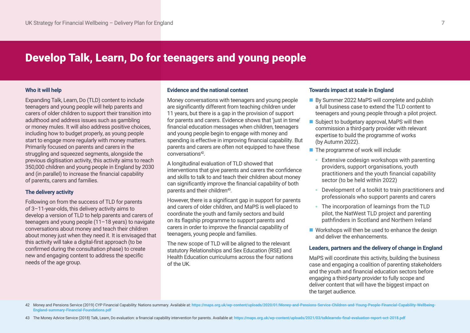# Develop Talk, Learn, Do for teenagers and young people

### **Who it will help**

Expanding Talk, Learn, Do (TLD) content to include teenagers and young people will help parents and carers of older children to support their transition into adulthood and address issues such as gambling or money mules. It will also address positive choices, including how to budget properly, as young people start to engage more regularly with money matters. Primarily focused on parents and carers in the struggling and squeezed segments, alongside the previous digitisation activity, this activity aims to reach 350,000 children and young people in England by 2030 and (in parallel) to increase the financial capability of parents, carers and families.

# **The delivery activity**

Following on from the success of TLD for parents of 3–11-year-olds, this delivery activity aims to develop a version of TLD to help parents and carers of teenagers and young people (11–18 years) to navigate conversations about money and teach their children about money just when they need it. It is envisaged that this activity will take a digital-first approach (to be confirmed during the consultation phase) to create new and engaging content to address the specific needs of the age group.

#### **Evidence and the national context**

Money conversations with teenagers and young people are significantly different from teaching children under 11 years, but there is a gap in the provision of support for parents and carers. Evidence shows that 'just in time' financial education messages when children, teenagers and young people begin to engage with money and spending is effective in improving financial capability. But parents and carers are often not equipped to have these conversations42.

A longitudinal evaluation of TLD showed that interventions that give parents and carers the confidence and skills to talk to and teach their children about money can significantly improve the financial capability of both parents and their children<sup>43</sup>.

However, there is a significant gap in support for parents and carers of older children, and MaPS is well-placed to coordinate the youth and family sectors and build on its flagship programme to support parents and carers in order to improve the financial capability of teenagers, young people and families.

The new scope of TLD will be aligned to the relevant statutory Relationships and Sex Education (RSE) and Health Education curriculums across the four nations of the UK.

#### **Towards impact at scale in England**

- By Summer 2022 MaPS will complete and publish a full business case to extend the TLD content to teenagers and young people through a pilot project.
- $\blacksquare$  Subject to budgetary approval, MaPS will then commission a third-party provider with relevant expertise to build the programme of works (by Autumn 2022).
- $\blacksquare$  The programme of work will include:
	- Extensive codesign workshops with parenting providers, support organisations, youth practitioners and the youth financial capability sector (to be held within 2022)
	- Development of a toolkit to train practitioners and professionals who support parents and carers
	- The incorporation of learnings from the TLD pilot, the NatWest TLD project and parenting pathfinders in Scotland and Northern Ireland
- $\blacksquare$  Workshops will then be used to enhance the design and deliver the enhancements.

# **Leaders, partners and the delivery of change in England**

MaPS will coordinate this activity, building the business case and engaging a coalition of parenting stakeholders and the youth and financial education sectors before engaging a third-party provider to fully scope and deliver content that will have the biggest impact on the target audience.

43 The Money Advice Service (2018) Talk, Learn, Do evaluation: a financial capability intervention for parents. Available at: <https://maps.org.uk/wp-content/uploads/2021/03/talklearndo-final-evaluation-report-oct-2018.pdf>

<sup>42</sup> Money and Pensions Service (2019) CYP Financial Capability: Nations summary. Available at: https://maps.org.uk/wp-content/uploads/2020/01/Money-and-Pensions-Service-Children-and-Young-People-Financial-Capability-Wellbei **[England-summary-Financial-Foundations.pdf](https://maps.org.uk/wp-content/uploads/2020/01/Money-and-Pensions-Service-Children-and-Young-People-Financial-Capability-Wellbeing-England-summary-Financial-Foundations.pdf)**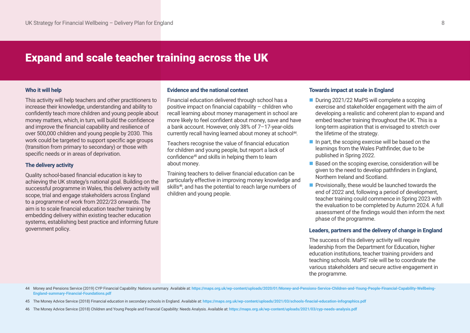# Expand and scale teacher training across the UK

#### **Who it will help**

This activity will help teachers and other practitioners to increase their knowledge, understanding and ability to confidently teach more children and young people about money matters, which, in turn, will build the confidence and improve the financial capability and resilience of over 500,000 children and young people by 2030. This work could be targeted to support specific age groups (transition from primary to secondary) or those with specific needs or in areas of deprivation.

### **The delivery activity**

Quality school-based financial education is key to achieving the UK strategy's national goal. Building on the successful programme in Wales, this delivery activity will scope, trial and engage stakeholders across England to a programme of work from 2022/23 onwards. The aim is to scale financial education teacher training by embedding delivery within existing teacher education systems, establishing best practice and informing future government policy.

#### **Evidence and the national context**

Financial education delivered through school has a positive impact on financial capability – children who recall learning about money management in school are more likely to feel confident about money, save and have a bank account. However, only 38% of 7–17-year-olds currently recall having learned about money at school<sup>44</sup>.

Teachers recognise the value of financial education for children and young people, but report a lack of confidence45 and skills in helping them to learn about money.

Training teachers to deliver financial education can be particularly effective in improving money knowledge and skills<sup>46</sup>, and has the potential to reach large numbers of children and young people.

#### **Towards impact at scale in England**

- During 2021/22 MaPS will complete a scoping exercise and stakeholder engagement with the aim of developing a realistic and coherent plan to expand and embed teacher training throughout the UK. This is a long-term aspiration that is envisaged to stretch over the lifetime of the strategy.
- $\blacksquare$  In part, the scoping exercise will be based on the learnings from the Wales Pathfinder, due to be published in Spring 2022.
- $\blacksquare$  Based on the scoping exercise, consideration will be given to the need to develop pathfinders in England, Northern Ireland and Scotland.
- $\blacksquare$  Provisionally, these would be launched towards the end of 2022 and, following a period of development, teacher training could commence in Spring 2023 with the evaluation to be completed by Autumn 2024. A full assessment of the findings would then inform the next phase of the programme.

### **Leaders, partners and the delivery of change in England**

The success of this delivery activity will require leadership from the Department for Education, higher education institutions, teacher training providers and teaching schools. MaPS' role will be to coordinate the various stakeholders and secure active engagement in the programme.

44 Money and Pensions Service (2019) CYP Financial Capability: Nations summary. Available at: https://maps.org.uk/wp-content/uploads/2020/01/Money-and-Pensions-Service-Children-and-Young-People-Financial-Capability-Wellbei **[England-summary-Financial-Foundations.pdf](https://maps.org.uk/wp-content/uploads/2020/01/Money-and-Pensions-Service-Children-and-Young-People-Financial-Capability-Wellbeing-England-summary-Financial-Foundations.pdf)**

- 45 The Money Advice Service (2018) Financial education in secondary schools in England. Available at: **<https://maps.org.uk/wp-content/uploads/2021/03/schools-finacial-education-infographics.pdf>**
- 46 The Money Advice Service (2018) Children and Young People and Financial Capability: Needs Analysis. Available at: **<https://maps.org.uk/wp-content/uploads/2021/03/cyp-needs-analysis.pdf>**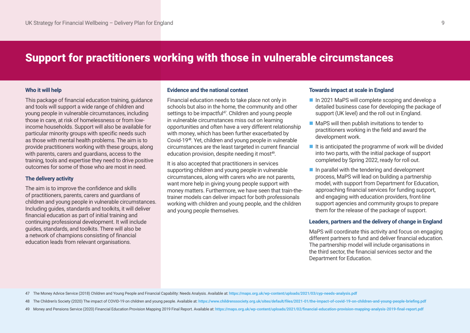# Support for practitioners working with those in vulnerable circumstances

#### **Who it will help**

This package of financial education training, guidance and tools will support a wide range of children and young people in vulnerable circumstances, including those in care, at risk of homelessness or from lowincome households. Support will also be available for particular minority groups with specific needs such as those with mental health problems. The aim is to provide practitioners working with these groups, along with parents, carers and guardians, access to the training, tools and expertise they need to drive positive outcomes for some of those who are most in need.

### **The delivery activity**

The aim is to improve the confidence and skills of practitioners, parents, carers and guardians of children and young people in vulnerable circumstances. Including guides, standards and toolkits, it will deliver financial education as part of initial training and continuing professional development. It will include guides, standards, and toolkits. There will also be a network of champions consisting of financial education leads from relevant organisations.

#### **Evidence and the national context**

Financial education needs to take place not only in schools but also in the home, the community and other settings to be impactful<sup>47</sup>. Children and young people in vulnerable circumstances miss out on learning opportunities and often have a very different relationship with money, which has been further exacerbated by Covid-1948. Yet, children and young people in vulnerable circumstances are the least targeted in current financial education provision, despite needing it most<sup>49</sup>.

It is also accepted that practitioners in services supporting children and young people in vulnerable circumstances, along with carers who are not parents, want more help in giving young people support with money matters. Furthermore, we have seen that train-thetrainer models can deliver impact for both professionals working with children and young people, and the children and young people themselves.

#### **Towards impact at scale in England**

- n In 2021 MaPS will complete scoping and develop a detailed business case for developing the package of support (UK level) and the roll out in England.
- $\blacksquare$  MaPS will then publish invitations to tender to practitioners working in the field and award the development work.
- $\blacksquare$  It is anticipated the programme of work will be divided into two parts, with the initial package of support completed by Spring 2022, ready for roll out.
- $\blacksquare$  In parallel with the tendering and development process, MaPS will lead on building a partnership model, with support from Department for Education, approaching financial services for funding support, and engaging with education providers, front-line support agencies and community groups to prepare them for the release of the package of support.

### **Leaders, partners and the delivery of change in England**

MaPS will coordinate this activity and focus on engaging different partners to fund and deliver financial education. The partnership model will include organisations in the third sector, the financial services sector and the Department for Education.

- 47 The Money Advice Service (2018) Children and Young People and Financial Capability: Needs Analysis. Available at: **<https://maps.org.uk/wp-content/uploads/2021/03/cyp-needs-analysis.pdf>**
- 48 The Children's Society (2020) The impact of COVID-19 on children and young people. Available at: https://www.childrenssociety.org.uk/sites/default/files/2021-01/the-impact-of-covid-19-on-children-and-young-people-briefi
- 49 Money and Pensions Service (2020) Financial Education Provision Mapping 2019 Final Report. Available at: https://maps.org.uk/wp-content/uploads/2021/02/financial-education-provision-mapping-analysis-2019-final-report.pd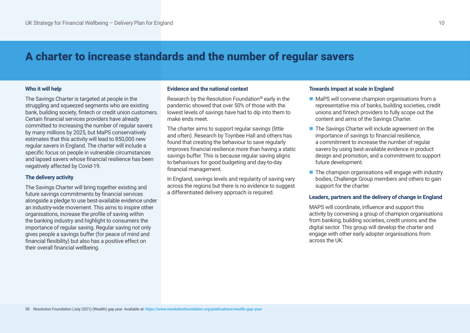# A charter to increase standards and the number of regular savers

# **Who it will help**

The Savings Charter is targeted at people in the struggling and squeezed segments who are existing bank, building society, fintech or credit union customers. Certain financial services providers have already committed to increasing the number of regular savers by many millions by 2025, but MaPS conservatively estimates that this activity will lead to 850,000 new regular savers in England. The charter will include a specific focus on people in vulnerable circumstances and lapsed savers whose financial resilience has been negatively affected by Covid-19.

# **The delivery activity**

The Savings Charter will bring together existing and future savings commitments by financial services alongside a pledge to use best-available evidence under an industry-wide movement. This aims to inspire other organisations, increase the profile of saving within the banking industry and highlight to consumers the importance of regular saving. Regular saving not only gives people a savings buffer (for peace of mind and financial flexibility) but also has a positive effect on their overall financial wellbeing.

#### **Evidence and the national context**

Research by the Resolution Foundation<sup>50</sup> early in the pandemic showed that over 50% of those with the lowest levels of savings have had to dip into them to make ends meet.

The charter aims to support regular savings (little and often). Research by Toynbee Hall and others has found that creating the behaviour to save regularly improves financial resilience more than having a static savings buffer. This is because regular saving aligns to behaviours for good budgeting and day-to-day financial management.

In England, savings levels and regularity of saving vary across the regions but there is no evidence to suggest a differentiated delivery approach is required.

# **Towards impact at scale in England**

- $\blacksquare$  MaPS will convene champion organisations from a representative mix of banks, building societies, credit unions and fintech providers to fully scope out the content and aims of the Savings Charter.
- $\blacksquare$  The Savings Charter will include agreement on the importance of savings to financial resilience, a commitment to increase the number of regular savers by using best-available evidence in product design and promotion, and a commitment to support future development.
- $\blacksquare$  The champion organisations will engage with industry bodies, Challenge Group members and others to gain support for the charter.

# **Leaders, partners and the delivery of change in England**

MAPS will coordinate, influence and support this activity by convening a group of champion organisations from banking, building societies, credit unions and the digital sector. This group will develop the charter and engage with other early adopter organisations from across the UK.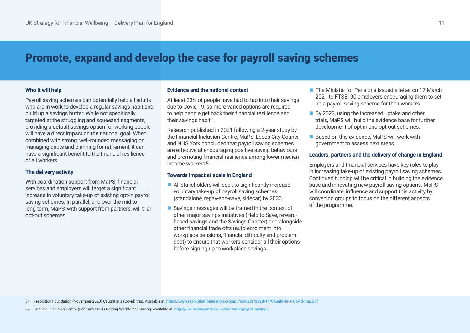# Promote, expand and develop the case for payroll saving schemes

### **Who it will help**

Payroll saving schemes can potentially help all adults who are in work to develop a regular savings habit and build up a savings buffer. While not specifically targeted at the struggling and squeezed segments. providing a default savings option for working people will have a direct impact on the national goal. When combined with strong, well-rounded messaging on managing debts and planning for retirement, it can have a significant benefit to the financial resilience of all workers.

### **The delivery activity**

With coordination support from MaPS, financial services and employers will target a significant increase in voluntary take-up of existing opt-in payroll saving schemes. In parallel, and over the mid to long-term, MaPS, with support from partners, will trial opt-out schemes.

#### **Evidence and the national context**

At least 23% of people have had to tap into their savings due to Covid-19, so more varied options are required to help people get back their financial resilience and their savings habit $51$ .

Research published in 2021 following a 2-year study by the Financial Inclusion Centre, MaPS, Leeds City Council and NHS York concluded that payroll saving schemes are effective at encouraging positive saving behaviours and promoting financial resilience among lower-median income workers<sup>52</sup>.

# **Towards impact at scale in England**

- $\blacksquare$  All stakeholders will seek to significantly increase voluntary take-up of payroll saving schemes (standalone, repay-and-save, sidecar) by 2030.
- $\blacksquare$  Savings messages will be framed in the context of other major savings initiatives (Help to Save, rewardbased savings and the Savings Charter) and alongside other financial trade-offs (auto-enrolment into workplace pensions, financial difficulty and problem debt) to ensure that workers consider all their options before signing up to workplace savings.
- n The Minister for Pensions issued a letter on 17 March 2021 to FTSE100 employers encouraging them to set up a payroll saving scheme for their workers.
- By 2023, using the increased uptake and other trials, MaPS will build the evidence base for further development of opt-in and opt-out schemes.
- Based on this evidence, MaPS will work with government to assess next steps.

### **Leaders, partners and the delivery of change in England**

Employers and financial services have key roles to play in increasing take-up of existing payroll saving schemes. Continued funding will be critical in building the evidence base and innovating new payroll saving options. MaPS will coordinate, influence and support this activity by convening groups to focus on the different aspects of the programme.

51 Resolution Foundation (November 2020) Caught in a (Covid) trap. Available at: **<https://www.resolutionfoundation.org/app/uploads/2020/11/Caught-in-a-Covid-trap.pdf>**

52 Financial Inclusion Centre (February 2021) Getting Workforces Saving. Available at: **<https://inclusioncentre.co.uk/our-work/payroll-savings>**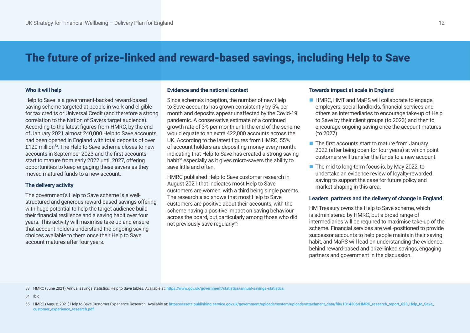# The future of prize-linked and reward-based savings, including Help to Save

#### **Who it will help**

Help to Save is a government-backed reward-based saving scheme targeted at people in work and eligible for tax credits or Universal Credit (and therefore a strong correlation to the Nation of Savers target audience). According to the latest figures from HMRC, by the end of January 2021 almost 240,000 Help to Save accounts had been opened in England with total deposits of over £120 million<sup>53</sup>. The Help to Save scheme closes to new accounts in September 2023 and the first accounts start to mature from early 2022 until 2027, offering opportunities to keep engaging these savers as they moved matured funds to a new account.

#### **The delivery activity**

The government's Help to Save scheme is a wellstructured and generous reward-based savings offering with huge potential to help the target audience build their financial resilience and a saving habit over four years. This activity will maximise take-up and ensure that account holders understand the ongoing saving choices available to them once their Help to Save account matures after four years.

#### **Evidence and the national context**

Since scheme's inception, the number of new Help to Save accounts has grown consistently by 5% per month and deposits appear unaffected by the Covid-19 pandemic. A conservative estimate of a continued growth rate of 3% per month until the end of the scheme would equate to an extra 422,000 accounts across the UK. According to the latest figures from HMRC, 55% of account holders are depositing money every month, indicating that Help to Save has created a strong saving habit<sup>54</sup> especially as it gives micro-savers the ability to save little and often.

HMRC published Help to Save customer research in August 2021 that indicates most Help to Save customers are women, with a third being single parents. The research also shows that most Help to Save customers are positive about their accounts, with the scheme having a positive impact on saving behaviour across the board, but particularly among those who did not previously save regularly<sup>55</sup>.

#### **Towards impact at scale in England**

- HMRC, HMT and MaPS will collaborate to engage employers, social landlords, financial services and others as intermediaries to encourage take-up of Help to Save by their client groups (to 2023) and then to encourage ongoing saving once the account matures (to 2027).
- $\blacksquare$  The first accounts start to mature from January 2022 (after being open for four years) at which point customers will transfer the funds to a new account.
- $\blacksquare$  The mid to long-term focus is, by May 2022, to undertake an evidence review of loyalty-rewarded saving to support the case for future policy and market shaping in this area.

#### **Leaders, partners and the delivery of change in England**

HM Treasury owns the Help to Save scheme, which is administered by HMRC, but a broad range of intermediaries will be required to maximise take-up of the scheme. Financial services are well-positioned to provide successor accounts to help people maintain their saving habit, and MaPS will lead on understanding the evidence behind reward-based and prize-linked savings, engaging partners and government in the discussion.

53 HMRC (June 2021) Annual savings statistics, Help to Save tables. Available at: **<https://www.gov.uk/government/statistics/annual-savings-statistics>**

54 Ibid.

<sup>55</sup> HMRC (August 2021) Help to Save Customer Experience Research. Available at: [https://assets.publishing.service.gov.uk/government/uploads/system/uploads/attachment\\_data/file/1014306/HMRC\\_research\\_report\\_623\\_Help\\_to\\_Save\\_](https://assets.publishing.service.gov.uk/government/uploads/system/uploads/attachment_data/file/1014306/HMRC_research_report_623_Help_to_Save_customer_experience_research.pdf) **[customer\\_experience\\_research.pdf](https://assets.publishing.service.gov.uk/government/uploads/system/uploads/attachment_data/file/1014306/HMRC_research_report_623_Help_to_Save_customer_experience_research.pdf)**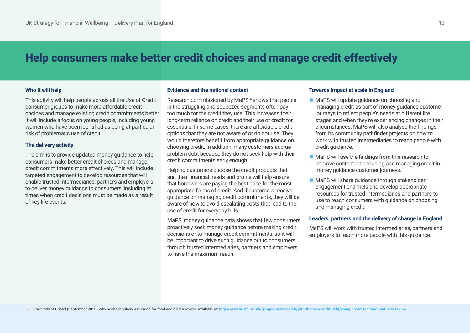# Help consumers make better credit choices and manage credit effectively

# **Who it will help**

This activity will help people across all the Use of Credit consumer groups to make more affordable credit choices and manage existing credit commitments better. It will include a focus on young people, including young women who have been identified as being at particular risk of problematic use of credit.

### **The delivery activity**

The aim is to provide updated money guidance to help consumers make better credit choices and manage credit commitments more effectively. This will include targeted engagement to develop resources that will enable trusted intermediaries, partners and employers to deliver money guidance to consumers, including at times when credit decisions must be made as a result of key life events.

#### **Evidence and the national context**

Research commissioned by MaPS<sup>56</sup> shows that people in the struggling and squeezed segments often pay too much for the credit they use. This increases their long-term reliance on credit and their use of credit for essentials. In some cases, there are affordable credit options that they are not aware of or do not use. They would therefore benefit from appropriate guidance on choosing credit. In addition, many customers accrue problem debt because they do not seek help with their credit commitments early enough.

Helping customers choose the credit products that suit their financial needs and profile will help ensure that borrowers are paying the best price for the most appropriate forms of credit. And if customers receive guidance on managing credit commitments, they will be aware of how to avoid escalating costs that lead to the use of credit for everyday bills.

MaPS' money guidance data shows that few consumers proactively seek money guidance before making credit decisions or to manage credit commitments, so it will be important to drive such guidance out to consumers through trusted intermediaries, partners and employers to have the maximum reach.

#### **Towards impact at scale in England**

- MaPS will update guidance on choosing and managing credit as part of money guidance customer journeys to reflect people's needs at different life stages and when they're experiencing changes in their circumstances. MaPS will also analyse the findings from its community pathfinder projects on how to work with trusted intermediaries to reach people with credit guidance.
- $\blacksquare$  MaPS will use the findings from this research to improve content on choosing and managing credit in money guidance customer journeys.
- MaPS will share guidance through stakeholder engagement channels and develop appropriate resources for trusted intermediaries and partners to use to reach consumers with guidance on choosing and managing credit.

### **Leaders, partners and the delivery of change in England**

MaPS will work with trusted intermediaries, partners and employers to reach more people with this guidance.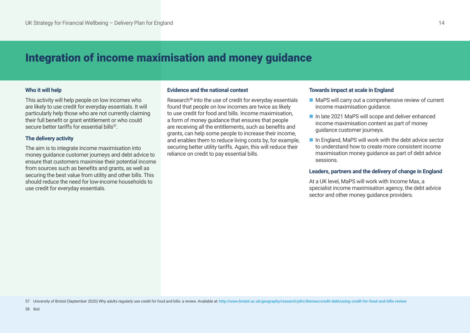# Integration of income maximisation and money guidance

# **Who it will help**

This activity will help people on low incomes who are likely to use credit for everyday essentials. It will particularly help those who are not currently claiming their full benefit or grant entitlement or who could secure better tariffs for essential bills<sup>57</sup>

# **The delivery activity**

The aim is to integrate income maximisation into money guidance customer journeys and debt advice to ensure that customers maximise their potential income from sources such as benefits and grants, as well as securing the best value from utility and other bills. This should reduce the need for low-income households to use credit for everyday essentials.

#### **Evidence and the national context**

Research<sup>58</sup> into the use of credit for everyday essentials found that people on low incomes are twice as likely to use credit for food and bills. Income maximisation, a form of money guidance that ensures that people are receiving all the entitlements, such as benefits and grants, can help some people to increase their income, and enables them to reduce living costs by, for example, securing better utility tariffs. Again, this will reduce their reliance on credit to pay essential bills.

#### **Towards impact at scale in England**

- $\blacksquare$  MaPS will carry out a comprehensive review of current income maximisation guidance.
- n In late 2021 MaPS will scope and deliver enhanced income maximisation content as part of money guidance customer journeys.
- $\blacksquare$  In England, MaPS will work with the debt advice sector to understand how to create more consistent income maximisation money guidance as part of debt advice sessions.

### **Leaders, partners and the delivery of change in England**

At a UK level, MaPS will work with Income Max, a specialist income maximisation agency, the debt advice sector and other money guidance providers.

57 University of Bristol (September 2020) Why adults reqularly use credit for food and bills: a review. Available at: http://www.bristol.ac.uk/qeography/research/pfrc/themes/credit-debt/using-credit-for-food-and-bills-revi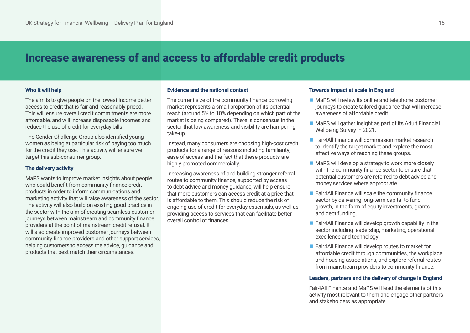# Increase awareness of and access to affordable credit products

### **Who it will help**

The aim is to give people on the lowest income better access to credit that is fair and reasonably priced. This will ensure overall credit commitments are more affordable, and will increase disposable incomes and reduce the use of credit for everyday bills.

The Gender Challenge Group also identified young women as being at particular risk of paying too much for the credit they use. This activity will ensure we target this sub-consumer group.

#### **The delivery activity**

MaPS wants to improve market insights about people who could benefit from community finance credit products in order to inform communications and marketing activity that will raise awareness of the sector. The activity will also build on existing good practice in the sector with the aim of creating seamless customer journeys between mainstream and community finance providers at the point of mainstream credit refusal. It will also create improved customer journeys between community finance providers and other support services, helping customers to access the advice, guidance and products that best match their circumstances.

#### **Evidence and the national context**

The current size of the community finance borrowing market represents a small proportion of its potential reach (around 5% to 10% depending on which part of the market is being compared). There is consensus in the sector that low awareness and visibility are hampering take-up.

Instead, many consumers are choosing high-cost credit products for a range of reasons including familiarity, ease of access and the fact that these products are highly promoted commercially.

Increasing awareness of and building stronger referral routes to community finance, supported by access to debt advice and money guidance, will help ensure that more customers can access credit at a price that is affordable to them. This should reduce the risk of ongoing use of credit for everyday essentials, as well as providing access to services that can facilitate better overall control of finances.

#### **Towards impact at scale in England**

- $\blacksquare$  MaPS will review its online and telephone customer journeys to create tailored guidance that will increase awareness of affordable credit.
- $\blacksquare$  MaPS will gather insight as part of its Adult Financial Wellbeing Survey in 2021.
- Fair4All Finance will commission market research to identify the target market and explore the most effective ways of reaching these groups.
- $\blacksquare$  MaPS will develop a strategy to work more closely with the community finance sector to ensure that potential customers are referred to debt advice and money services where appropriate.
- $\blacksquare$  Fair4All Finance will scale the community finance sector by delivering long-term capital to fund growth, in the form of equity investments, grants and debt funding.
- $\blacksquare$  Fair4All Finance will develop growth capability in the sector including leadership, marketing, operational excellence and technology.
- Fair4All Finance will develop routes to market for affordable credit through communities, the workplace and housing associations, and explore referral routes from mainstream providers to community finance.

#### **Leaders, partners and the delivery of change in England**

Fair4All Finance and MaPS will lead the elements of this activity most relevant to them and engage other partners and stakeholders as appropriate.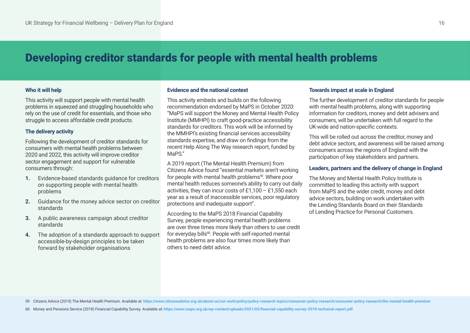# Developing creditor standards for people with mental health problems

### **Who it will help**

This activity will support people with mental health problems in squeezed and struggling households who rely on the use of credit for essentials, and those who struggle to access affordable credit products.

# **The delivery activity**

Following the development of creditor standards for consumers with mental health problems between 2020 and 2022, this activity will improve creditor sector engagement and support for vulnerable consumers through:

- **1.** Evidence-based standards guidance for creditors on supporting people with mental health problems
- **2.** Guidance for the money advice sector on creditor standards
- **3.** A public awareness campaign about creditor standards
- **4.** The adoption of a standards approach to support accessible-by-design principles to be taken forward by stakeholder organisations

### **Evidence and the national context**

This activity embeds and builds on the following recommendation endorsed by MaPS in October 2020: "MaPS will support the Money and Mental Health Policy Institute (MMHPI) to craft good-practice accessibility standards for creditors. This work will be informed by the MMHPI's existing financial services accessibility standards expertise, and draw on findings from the recent Help Along The Way research report, funded by MaPS."

A 2019 report (The Mental Health Premium) from Citizens Advice found "essential markets aren't working for people with mental health problems<sup>59</sup>. Where poor mental health reduces someone's ability to carry out daily activities, they can incur costs of £1,100 – £1,550 each year as a result of inaccessible services, poor regulatory protections and inadequate support".

According to the MaPS 2018 Financial Capability Survey, people experiencing mental health problems are over three times more likely than others to use credit for everyday bills<sup>60</sup>. People with self-reported mental health problems are also four times more likely than others to need debt advice.

# **Towards impact at scale in England**

The further development of creditor standards for people with mental health problems, along with supporting information for creditors, money and debt advisers and consumers, will be undertaken with full regard to the UK-wide and nation-specific contexts.

This will be rolled out across the creditor, money and debt advice sectors, and awareness will be raised among consumers across the regions of England with the participation of key stakeholders and partners.

# **Leaders, partners and the delivery of change in England**

The Money and Mental Health Policy Institute is committed to leading this activity with support from MaPS and the wider credit, money and debt advice sectors, building on work undertaken with the Lending Standards Board on their Standards of Lending Practice for Personal Customers.

<sup>59</sup> Citizens Advice (2019) The Mental Health Premium. Available at: https://www.citizensadvice.org.uk/about-us/our-work/policy/policy-research-topics/consumer-policy-research/consumer-policy-research/the-mental-health-premi

<sup>60</sup> Money and Pensions Service (2018) Financial Capability Survey. Available at: **<https://www.maps.org.uk/wp-content/uploads/2021/03/financial-capability-survey-2018-technical-report.pdf>**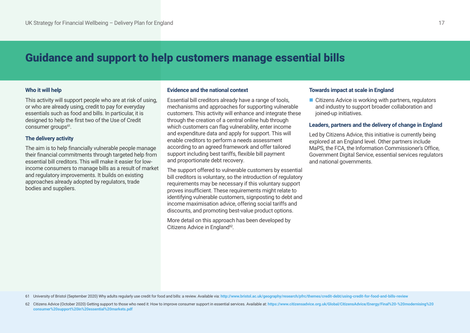# Guidance and support to help customers manage essential bills

#### **Who it will help**

This activity will support people who are at risk of using, or who are already using, credit to pay for everyday essentials such as food and bills. In particular, it is designed to help the first two of the Use of Credit consumer groups<sup>61</sup>.

### **The delivery activity**

The aim is to help financially vulnerable people manage their financial commitments through targeted help from essential bill creditors. This will make it easier for lowincome consumers to manage bills as a result of market and regulatory improvements. It builds on existing approaches already adopted by regulators, trade bodies and suppliers.

#### **Evidence and the national context**

Essential bill creditors already have a range of tools, mechanisms and approaches for supporting vulnerable customers. This activity will enhance and integrate these through the creation of a central online hub through which customers can flag vulnerability, enter income and expenditure data and apply for support. This will enable creditors to perform a needs assessment according to an agreed framework and offer tailored support including best tariffs, flexible bill payment and proportionate debt recovery.

The support offered to vulnerable customers by essential bill creditors is voluntary, so the introduction of regulatory requirements may be necessary if this voluntary support proves insufficient. These requirements might relate to identifying vulnerable customers, signposting to debt and income maximisation advice, offering social tariffs and discounts, and promoting best-value product options.

More detail on this approach has been developed by Citizens Advice in England<sup>62</sup>.

#### **Towards impact at scale in England**

 $\blacksquare$  Citizens Advice is working with partners, regulators and industry to support broader collaboration and joined-up initiatives.

#### **Leaders, partners and the delivery of change in England**

Led by Citizens Advice, this initiative is currently being explored at an England level. Other partners include MaPS, the FCA, the Information Commissioner's Office, Government Digital Service, essential services regulators and national governments.

61 University of Bristol (September 2020) Why adults regularly use credit for food and bills: a review. Available via: http://www.bristol.ac.uk/geography/research/pfrc/themes/credit-debt/using-credit-for-food-and-bills-rev

<sup>62</sup> Citizens Advice (October 2020) Getting support to those who need it: How to improve consumer support in essential services. Available at: https://www.citizensadvice.org.uk/Global/CitizensAdvice/Energy/Final%20-%20modern **[consumer%20support%20in%20essential%20markets.pdf](https://www.citizensadvice.org.uk/Global/CitizensAdvice/Energy/Final%20-%20modernising%20consumer%20support%20in%20essential%20markets.pdf)**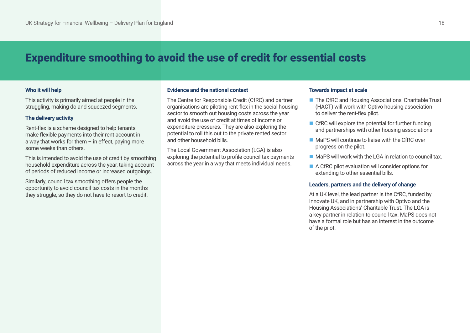# Expenditure smoothing to avoid the use of credit for essential costs

# **Who it will help**

This activity is primarily aimed at people in the struggling, making do and squeezed segments.

#### **The delivery activity**

Rent-flex is a scheme designed to help tenants make flexible payments into their rent account in a way that works for them – in effect, paying more some weeks than others.

This is intended to avoid the use of credit by smoothing household expenditure across the year, taking account of periods of reduced income or increased outgoings.

Similarly, council tax smoothing offers people the opportunity to avoid council tax costs in the months they struggle, so they do not have to resort to credit.

### **Evidence and the national context**

The Centre for Responsible Credit (CfRC) and partner organisations are piloting rent-flex in the social housing sector to smooth out housing costs across the year and avoid the use of credit at times of income or expenditure pressures. They are also exploring the potential to roll this out to the private rented sector and other household bills.

The Local Government Association (LGA) is also exploring the potential to profile council tax payments across the year in a way that meets individual needs.

# **Towards impact at scale**

- The CfRC and Housing Associations' Charitable Trust (HACT) will work with Optivo housing association to deliver the rent-flex pilot.
- $\blacksquare$  CfRC will explore the potential for further funding and partnerships with other housing associations.
- $\blacksquare$  MaPS will continue to liaise with the CfRC over progress on the pilot.
- $\blacksquare$  MaPS will work with the LGA in relation to council tax.
- $\blacksquare$  A CfRC pilot evaluation will consider options for extending to other essential bills.

#### **Leaders, partners and the delivery of change**

At a UK level, the lead partner is the CfRC, funded by Innovate UK, and in partnership with Optivo and the Housing Associations' Charitable Trust. The LGA is a key partner in relation to council tax. MaPS does not have a formal role but has an interest in the outcome of the pilot.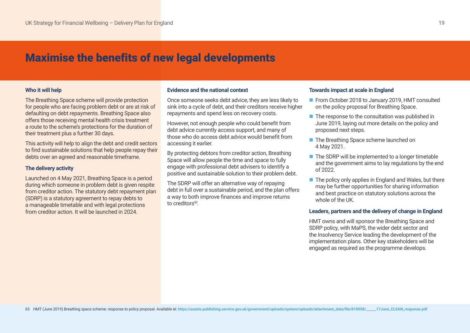# Maximise the benefits of new legal developments

#### **Who it will help**

The Breathing Space scheme will provide protection for people who are facing problem debt or are at risk of defaulting on debt repayments. Breathing Space also offers those receiving mental health crisis treatment a route to the scheme's protections for the duration of their treatment plus a further 30 days.

This activity will help to align the debt and credit sectors to find sustainable solutions that help people repay their debts over an agreed and reasonable timeframe.

### **The delivery activity**

Launched on 4 May 2021, Breathing Space is a period during which someone in problem debt is given respite from creditor action. The statutory debt repayment plan (SDRP) is a statutory agreement to repay debts to a manageable timetable and with legal protections from creditor action. It will be launched in 2024.

#### **Evidence and the national context**

Once someone seeks debt advice, they are less likely to sink into a cycle of debt, and their creditors receive higher repayments and spend less on recovery costs.

However, not enough people who could benefit from debt advice currently access support, and many of those who do access debt advice would benefit from accessing it earlier.

By protecting debtors from creditor action, Breathing Space will allow people the time and space to fully engage with professional debt advisers to identify a positive and sustainable solution to their problem debt.

The SDRP will offer an alternative way of repaying debt in full over a sustainable period, and the plan offers a way to both improve finances and improve returns to creditors<sup>63</sup>

#### **Towards impact at scale in England**

- From October 2018 to January 2019, HMT consulted on the policy proposal for Breathing Space.
- $\blacksquare$  The response to the consultation was published in June 2019, laying out more details on the policy and proposed next steps.
- The Breathing Space scheme launched on 4 May 2021.
- $\blacksquare$  The SDRP will be implemented to a longer timetable and the government aims to lay regulations by the end of 2022.
- $\blacksquare$  The policy only applies in England and Wales, but there may be further opportunities for sharing information and best practice on statutory solutions across the whole of the UK.

### **Leaders, partners and the delivery of change in England**

HMT owns and will sponsor the Breathing Space and SDRP policy, with MaPS, the wider debt sector and the Insolvency Service leading the development of the implementation plans. Other key stakeholders will be engaged as required as the programme develops.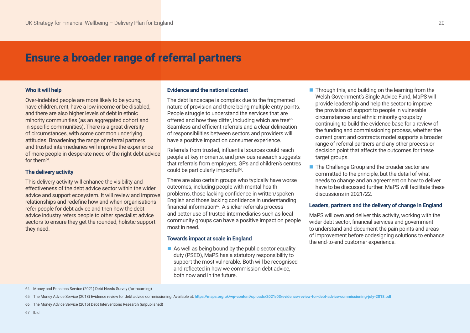# Ensure a broader range of referral partners

#### **Who it will help**

Over-indebted people are more likely to be young, have children, rent, have a low income or be disabled, and there are also higher levels of debt in ethnic minority communities (as an aggregated cohort and in specific communities). There is a great diversity of circumstances, with some common underlying attitudes. Broadening the range of referral partners and trusted intermediaries will improve the experience of more people in desperate need of the right debt advice for the $m^{64}$ .

### **The delivery activity**

This delivery activity will enhance the visibility and effectiveness of the debt advice sector within the wider advice and support ecosystem. It will review and improve relationships and redefine how and when organisations refer people for debt advice and then how the debt advice industry refers people to other specialist advice sectors to ensure they get the rounded, holistic support they need.

#### **Evidence and the national context**

The debt landscape is complex due to the fragmented nature of provision and there being multiple entry points. People struggle to understand the services that are offered and how they differ, including which are free<sup>65</sup>. Seamless and efficient referrals and a clear delineation of responsibilities between sectors and providers will have a positive impact on consumer experience.

Referrals from trusted, influential sources could reach people at key moments, and previous research suggests that referrals from employers, GPs and children's centres could be particularly impactful<sup>66</sup>.

There are also certain groups who typically have worse outcomes, including people with mental health problems, those lacking confidence in written/spoken English and those lacking confidence in understanding financial information $67$ . A slicker referrals process and better use of trusted intermediaries such as local community groups can have a positive impact on people most in need.

#### **Towards impact at scale in England**

 $\blacksquare$  As well as being bound by the public sector equality duty (PSED), MaPS has a statutory responsibility to support the most vulnerable. Both will be recognised and reflected in how we commission debt advice, both now and in the future.

- $\blacksquare$  Through this, and building on the learning from the Welsh Government's Single Advice Fund, MaPS will provide leadership and help the sector to improve the provision of support to people in vulnerable circumstances and ethnic minority groups by continuing to build the evidence base for a review of the funding and commissioning process, whether the current grant and contracts model supports a broader range of referral partners and any other process or decision point that affects the outcomes for these target groups.
- The Challenge Group and the broader sector are committed to the principle, but the detail of what needs to change and an agreement on how to deliver have to be discussed further. MaPS will facilitate these discussions in 2021/22.

#### **Leaders, partners and the delivery of change in England**

MaPS will own and deliver this activity, working with the wider debt sector, financial services and government to understand and document the pain points and areas of improvement before codesigning solutions to enhance the end-to-end customer experience.

<sup>64</sup> Money and Pensions Service (2021) Debt Needs Survey (forthcoming)

<sup>65</sup> The Money Advice Service (2018) Evidence review for debt advice commissioning. Available at: **<https://maps.org.uk/wp-content/uploads/2021/03/evidence-review-for-debt-advice-commissioning-july-2018.pdf>**

<sup>66</sup> The Money Advice Service (2015) Debt Interventions Research (unpublished)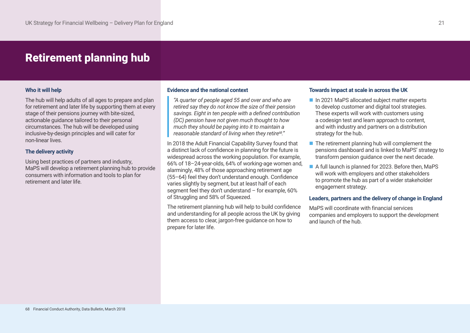# Retirement planning hub

### **Who it will help**

The hub will help adults of all ages to prepare and plan for retirement and later life by supporting them at every stage of their pensions journey with bite-sized, actionable guidance tailored to their personal circumstances. The hub will be developed using inclusive-by-design principles and will cater for non-linear lives.

# **The delivery activity**

Using best practices of partners and industry, MaPS will develop a retirement planning hub to provide consumers with information and tools to plan for retirement and later life.

#### **Evidence and the national context**

*"A quarter of people aged 55 and over and who are retired say they do not know the size of their pension savings. Eight in ten people with a defined contribution (DC) pension have not given much thought to how much they should be paying into it to maintain a reasonable standard of living when they retire68."*

In 2018 the Adult Financial Capability Survey found that a distinct lack of confidence in planning for the future is widespread across the working population. For example, 66% of 18–24-year-olds, 64% of working-age women and, alarmingly, 48% of those approaching retirement age (55–64) feel they don't understand enough. Confidence varies slightly by segment, but at least half of each segment feel they don't understand – for example, 60% of Struggling and 58% of Squeezed.

The retirement planning hub will help to build confidence and understanding for all people across the UK by giving them access to clear, jargon-free guidance on how to prepare for later life.

#### **Towards impact at scale in across the UK**

- n In 2021 MaPS allocated subject matter experts to develop customer and digital tool strategies. These experts will work with customers using a codesign test and learn approach to content, and with industry and partners on a distribution strategy for the hub.
- $\blacksquare$  The retirement planning hub will complement the pensions dashboard and is linked to MaPS' strategy to transform pension guidance over the next decade.
- A full launch is planned for 2023. Before then, MaPS will work with employers and other stakeholders to promote the hub as part of a wider stakeholder engagement strategy.

#### **Leaders, partners and the delivery of change in England**

MaPS will coordinate with financial services companies and employers to support the development and launch of the hub.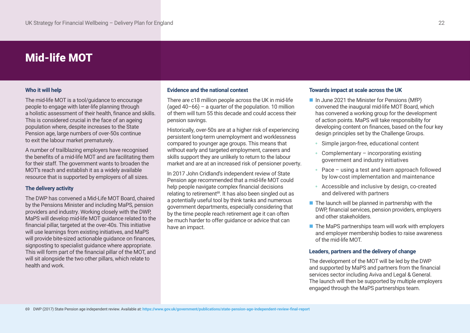# Mid-life MOT

# **Who it will help**

The mid-life MOT is a tool/guidance to encourage people to engage with later-life planning through a holistic assessment of their health, finance and skills. This is considered crucial in the face of an ageing population where, despite increases to the State Pension age, large numbers of over-50s continue to exit the labour market prematurely.

A number of trailblazing employers have recognised the benefits of a mid-life MOT and are facilitating them for their staff. The government wants to broaden the MOT's reach and establish it as a widely available resource that is supported by employers of all sizes.

### **The delivery activity**

The DWP has convened a Mid-Life MOT Board, chaired by the Pensions Minister and including MaPS, pension providers and industry. Working closely with the DWP, MaPS will develop mid-life MOT guidance related to the financial pillar, targeted at the over-40s. This initiative will use learnings from existing initiatives, and MaPS will provide bite-sized actionable guidance on finances, signposting to specialist guidance where appropriate. This will form part of the financial pillar of the MOT, and will sit alongside the two other pillars, which relate to health and work.

#### **Evidence and the national context**

There are c18 million people across the UK in mid-life (aged 40–66) – a quarter of the population. 10 million of them will turn 55 this decade and could access their pension savings.

Historically, over-50s are at a higher risk of experiencing persistent long-term unemployment and worklessness compared to younger age groups. This means that without early and targeted employment, careers and skills support they are unlikely to return to the labour market and are at an increased risk of pensioner poverty.

In 2017 John Cridland's independent review of State Pension age recommended that a mid-life MOT could help people navigate complex financial decisions relating to retirement<sup>69</sup>. It has also been singled out as a potentially useful tool by think tanks and numerous government departments, especially considering that by the time people reach retirement age it can often be much harder to offer guidance or advice that can have an impact.

#### **Towards impact at scale across the UK**

- In June 2021 the Minister for Pensions (MfP) convened the inaugural mid-life MOT Board, which has convened a working group for the development of action points. MaPS will take responsibility for developing content on finances, based on the four key design principles set by the Challenge Groups.
	- Simple jargon-free, educational content
	- Complementary incorporating existing government and industry initiatives
	- Pace using a test and learn approach followed by low-cost implementation and maintenance
	- Accessible and inclusive by design, co-created and delivered with partners
- $\blacksquare$  The launch will be planned in partnership with the DWP, financial services, pension providers, employers and other stakeholders.
- $\blacksquare$  The MaPS partnerships team will work with employers and employer membership bodies to raise awareness of the mid-life MOT.

# **Leaders, partners and the delivery of change**

The development of the MOT will be led by the DWP and supported by MaPS and partners from the financial services sector including Aviva and Legal & General. The launch will then be supported by multiple employers engaged through the MaPS partnerships team.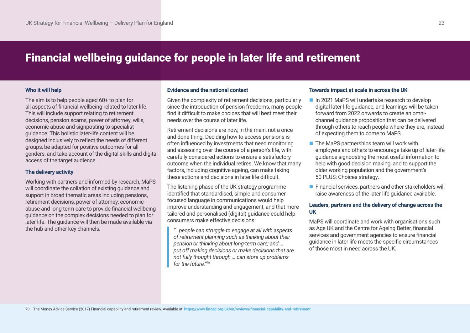# Financial wellbeing guidance for people in later life and retirement

# **Who it will help**

The aim is to help people aged 60+ to plan for all aspects of financial wellbeing related to later life. This will include support relating to retirement decisions, pension scams, power of attorney, wills, economic abuse and signposting to specialist guidance. This holistic later-life content will be designed inclusively to reflect the needs of different groups, be adapted for positive outcomes for all genders, and take account of the digital skills and digital access of the target audience.

# **The delivery activity**

Working with partners and informed by research, MaPS will coordinate the collation of existing guidance and support in broad thematic areas including pensions, retirement decisions, power of attorney, economic abuse and long-term care to provide financial wellbeing guidance on the complex decisions needed to plan for later life. The guidance will then be made available via the hub and other key channels.

#### **Evidence and the national context**

Given the complexity of retirement decisions, particularly since the introduction of pension freedoms, many people find it difficult to make choices that will best meet their needs over the course of later life.

Retirement decisions are now, in the main, not a once and done thing. Deciding how to access pensions is often influenced by investments that need monitoring and assessing over the course of a person's life, with carefully considered actions to ensure a satisfactory outcome when the individual retires. We know that many factors, including cognitive ageing, can make taking these actions and decisions in later life difficult.

The listening phase of the UK strategy programme identified that standardised, simple and consumerfocused language in communications would help improve understanding and engagement, and that more tailored and personalised (digital) guidance could help consumers make effective decisions.

*"…people can struggle to engage at all with aspects of retirement planning such as thinking about their pension or thinking about long-term care; and … put off making decisions or make decisions that are not fully thought through … can store up problems for the future."70*

#### **Towards impact at scale in across the UK**

- n In 2021 MaPS will undertake research to develop digital later-life guidance, and learnings will be taken forward from 2022 onwards to create an omnichannel guidance proposition that can be delivered through others to reach people where they are, instead of expecting them to come to MaPS.
- $\blacksquare$  The MaPS partnerships team will work with employers and others to encourage take up of later-life guidance signposting the most useful information to help with good decision making, and to support the older working population and the government's 50 PLUS: Choices strategy.
- $\blacksquare$  Financial services, partners and other stakeholders will raise awareness of the later-life guidance available.

# **Leaders, partners and the delivery of change across the UK**

MaPS will coordinate and work with organisations such as Age UK and the Centre for Ageing Better, financial services and government agencies to ensure financial guidance in later life meets the specific circumstances of those most in need across the UK.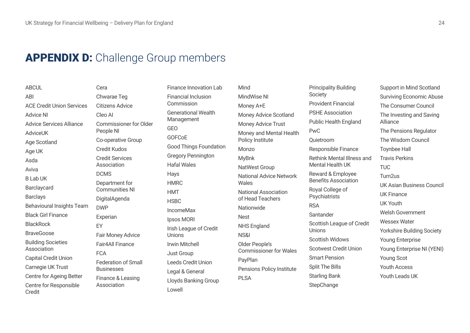# **APPENDIX D:** Challenge Group members

**ABCUL** ABI ACE Credit Union Services Advice NI Advice Services Alliance **AdviceUK** Age Scotland Age UK Asda Aviva B Lab UK Barclaycard Barclays Behavioural Insights Team Black Girl Finance BlackRock **BraveGoose** Building Societies Association Capital Credit Union Carnegie UK Trust Centre for Ageing Better Centre for Responsible Credit

Cera Chwarae Teg Citizens Advice Cleo AI Commissioner for Older People NI Co-operative Group Credit Kudos Credit Services Association DCMS Department for Communities NI DigitalAgenda DWP Experian EY Fair Money Advice Fair4All Finance FCA Federation of Small Businesses Finance & Leasing Association

Finance Innovation Lab Financial Inclusion Commission Generational Wealth Management GEO GOFCoE Good Things Foundation Gregory Pennington Hafal Wales Hays HMRC HMT **HSBC** IncomeMax Ipsos MORI Irish League of Credit Unions Irwin Mitchell Just Group Leeds Credit Union Legal & General Lloyds Banking Group Lowell

Mind MindWise NI Money A+E Money Advice Scotland Money Advice Trust Money and Mental Health Policy Institute Monzo MyBnk NatWest Group National Advice Network Wales National Association of Head Teachers **Nationwide Nest** NHS England NS&I Older People's Commissioner for Wales PayPlan Pensions Policy Institute PLSA

Principality Building Society Provident Financial PSHE Association Public Health England PwC Quietroom Responsible Finance Rethink Mental Illness and Mental Health UK Reward & Employee Benefits Association Royal College of Psychiatrists **RSA** Santander Scottish League of Credit Unions Scottish Widows Scotwest Credit Union Smart Pension Split The Bills Starling Bank **StepChange** 

Support in Mind Scotland Surviving Economic Abuse The Consumer Council The Investing and Saving Alliance The Pensions Regulator The Wisdom Council Toynbee Hall Travis Perkins TUC Turn2us UK Asian Business Council UK Finance UK Youth Welsh Government Wessex Water Yorkshire Building Society Young Enterprise Young Enterprise NI (YENI) Young Scot Youth Access Youth Leads UK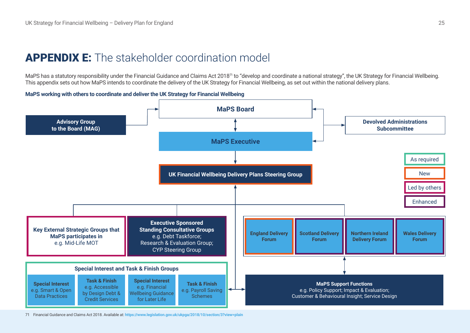# APPENDIX E: The stakeholder coordination model

MaPS has a statutory responsibility under the Financial Guidance and Claims Act 2018<sup>71</sup> to "develop and coordinate a national strategy", the UK Strategy for Financial Wellbeing. This appendix sets out how MaPS intends to coordinate the delivery of the UK Strategy for Financial Wellbeing, as set out within the national delivery plans.

# **MaPS working with others to coordinate and deliver the UK Strategy for Financial Wellbeing**



71 Financial Guidance and Claims Act 2018. Available at: **<https://www.legislation.gov.uk/ukpga/2018/10/section/3?view=plain>**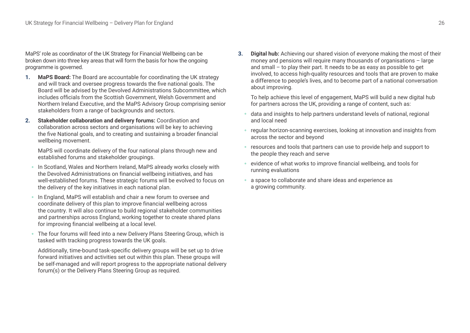MaPS' role as coordinator of the UK Strategy for Financial Wellbeing can be broken down into three key areas that will form the basis for how the ongoing programme is governed.

- **1. MaPS Board:** The Board are accountable for coordinating the UK strategy and will track and oversee progress towards the five national goals. The Board will be advised by the Devolved Administrations Subcommittee, which includes officials from the Scottish Government, Welsh Government and Northern Ireland Executive, and the MaPS Advisory Group comprising senior stakeholders from a range of backgrounds and sectors.
- **2. Stakeholder collaboration and delivery forums:** Coordination and collaboration across sectors and organisations will be key to achieving the five National goals, and to creating and sustaining a broader financial wellbeing movement.

MaPS will coordinate delivery of the four national plans through new and established forums and stakeholder groupings.

- In Scotland, Wales and Northern Ireland, MaPS already works closely with the Devolved Administrations on financial wellbeing initiatives, and has well-established forums. These strategic forums will be evolved to focus on the delivery of the key initiatives in each national plan.
- In England, MaPS will establish and chair a new forum to oversee and coordinate delivery of this plan to improve financial wellbeing across the country. It will also continue to build regional stakeholder communities and partnerships across England, working together to create shared plans for improving financial wellbeing at a local level.
- The four forums will feed into a new Delivery Plans Steering Group, which is tasked with tracking progress towards the UK goals.

 Additionally, time-bound task-specific delivery groups will be set up to drive forward initiatives and activities set out within this plan. These groups will be self-managed and will report progress to the appropriate national delivery forum(s) or the Delivery Plans Steering Group as required.

**3. Digital hub:** Achieving our shared vision of everyone making the most of their money and pensions will require many thousands of organisations – large and small – to play their part. It needs to be as easy as possible to get involved, to access high-quality resources and tools that are proven to make a difference to people's lives, and to become part of a national conversation about improving.

To help achieve this level of engagement, MaPS will build a new digital hub for partners across the UK, providing a range of content, such as:

- data and insights to help partners understand levels of national, regional and local need
- regular horizon-scanning exercises, looking at innovation and insights from across the sector and beyond
- resources and tools that partners can use to provide help and support to the people they reach and serve
- evidence of what works to improve financial wellbeing, and tools for running evaluations
- a space to collaborate and share ideas and experience as a growing community.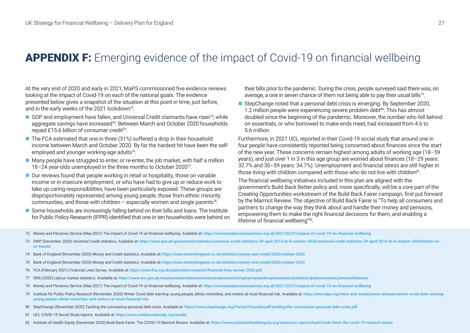# APPENDIX F: Emerging evidence of the impact of Covid-19 on financial wellbeing

At the very end of 2020 and early in 2021, MaPS commissioned five evidence reviews looking at the impact of Covid-19 on each of the national goals. The evidence presented below gives a snapshot of the situation at this point in time, just before, and in the early weeks of the 2021 lockdown<sup>72</sup>.

- GDP and employment have fallen, and Universal Credit claimants have risen<sup>73</sup>, while aggregate savings have increased<sup>74</sup>. Between March and October 2020 households repaid £15.6 billion of consumer credit<sup>75</sup>.
- $\blacksquare$  The FCA estimated that one in three (31%) suffered a drop in their household income between March and October 2020. By far the hardest hit have been the selfemployed and younger working-age adults<sup>76</sup>.
- Many people have struggled to enter, or re-enter, the job market, with half a million 18–24 year-olds unemployed in the three months to October 2020<sup> $\pi$ </sup>.
- $\blacksquare$  Our reviews found that people working in retail or hospitality, those on variable income or in insecure employment, or who have had to give up or reduce work to take up caring responsibilities, have been particularly exposed. These groups are disproportionately represented among young people, those from ethnic minority communities, and those with children – especially women and single parents<sup>78</sup>.
- Some households are increasingly falling behind on their bills and loans. The Institute for Public Policy Research (IPPR) identified that one in ten households were behind on

their bills prior to the pandemic. During the crisis, people surveyed said there was, on average, a one in seven chance of them not being able to pay their usual bills<sup>79</sup>.

StepChange noted that a personal debt crisis is emerging. By September 2020, 1.2 million people were experiencing severe problem debt $80$ . This has almost doubled since the beginning of the pandemic. Moreover, the number who fell behind on essentials, or who borrowed to make ends meet, had increased from 4.6 to 5.6 million.

Furthermore, in 2021 UCL reported in their Covid-19 social study that around one in four people have consistently reported being concerned about finances since the start of the new year. These concerns remain highest among adults of working age (18–59 years), and just over 1 in 3 in this age group are worried about finances (18–29 years: 32.7% and 30–59 years: 34.7%). Unemployment and financial stress are still higher in those living with children compared with those who do not live with children<sup>81</sup>.

The financial wellbeing initiatives included in this plan are aligned with the government's Build Back Better policy and, more specifically, will be a core part of the Creating Opportunities workstream of the Build Back Fairer campaign, first put forward by the Marmot Review. The objective of Build Back Fairer is "To help all consumers and partners to change the way they think about and handle their money and pensions, empowering them to make the right financial decisions for them, and enabling a lifetime of financial wellbeing"82.

72 Money and Pensions Service (May 2021) The impact of Covid-19 on financial wellbeing. Available at: <https://moneyandpensionsservice.org.uk/2021/05/27/impact-of-covid-19-on-financial-wellbeing>

- 74 Bank of England (November 2020) Money and Credit statistics. Available at: **<https://www.bankofengland.co.uk/statistics/money-and-credit/2020/october-2020>**
- 75 Bank of England (November 2020) Money and Credit statistics. Available at: **<https://www.bankofengland.co.uk/statistics/money-and-credit/2020/october-2020>**
- 76 FCA (February 2021) Financial Lives Survey. Available at: **<https://www.fca.org.uk/publication/research/financial-lives-survey-2020.pdf>**
- 77 ONS (2020) Labour market statistics. Available at: **<https://www.ons.gov.uk/employmentandlabourmarket/peopleinwork/employmentandemployeetypes/bulletins/uklabourmarket/previousReleases>**
- 78 Money and Pensions Service (May 2021) The impact of Covid-19 on financial wellbeing. Available at: <https://moneyandpensionsservice.org.uk/2021/05/27/impact-of-covid-19-on-financial-wellbeing>
- 79 Institute for Public Policy Research (November 2020) Winter Covid debt warning: young people, ethnic minorities, and renters at most financial risk. Available at: https://www.ippr.org/news-and-media/press-releases/winte **[young-people-ethnic-minorities-and-renters-at-most-financial-risk](https://www.ippr.org/news-and-media/press-releases/winter-covid-debt-warning-young-people-ethnic-minorities-and-renters-at-most-financial-risk)**
- 80 StepChange (November 2020) Tackling the coronavirus personal debt crisis. Available at: <https://www.stepchange.org/Portals/0/assets/pdf/tackling-the-coronavirus-personal-debt-crisis.pdf>
- 81 UCL COVID-19 Social Study reports. Available at: **<https://www.covidsocialstudy.org/results>**
- 82 Institute of Health Equity (December 2020) Build Back Fairer: The COVID-19 Marmot Review. Available at: <https://www.instituteofhealthequity.org/resources-reports/build-back-fairer-the-covid-19-marmot-review>

<sup>73</sup> DWP (December 2020) Universal Credit statistics. Available at: https://www.gov.uk/government/statistics/universal-credit-statistics-29-april-2013-to-8-october-2020/universal-credit-statistics-29-april-2013-to-8-october**[uc-header](https://www.gov.uk/government/statistics/universal-credit-statistics-29-april-2013-to-8-october-2020/universal-credit-statistics-29-april-2013-to-8-october-2020#starts-on-uc-header)**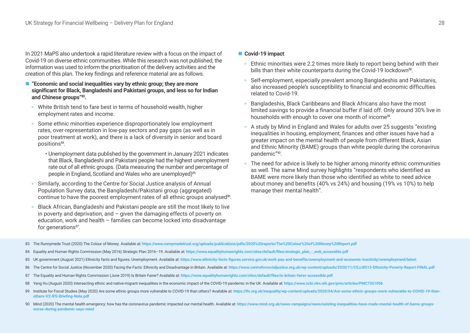In 2021 MaPS also undertook a rapid literature review with a focus on the impact of Covid-19 on diverse ethnic communities. While this research was not published, the information was used to inform the prioritisation of the delivery activities and the creation of this plan. The key findings and reference material are as follows.

- "Economic and social inequalities vary by ethnic group; they are more **significant for Black, Bangladeshi and Pakistani groups, and less so for Indian and Chinese groups"83.** 
	- White British tend to fare best in terms of household wealth, higher employment rates and income.
	- Some ethnic minorities experience disproportionately low employment rates, over-representation in low-pay sectors and pay gaps (as well as in poor treatment at work), and there is a lack of diversity in senior and board positions84.
		- Unemployment data published by the government in January 2021 indicates that Black, Bangladeshi and Pakistani people had the highest unemployment rate out of all ethnic groups. (Data measuring the number and percentage of people in England, Scotland and Wales who are unemployed)<sup>85</sup>
	- Similarly, according to the Centre for Social Justice analysis of Annual Population Survey data, the Bangladeshi/Pakistani group (aggregated) continue to have the poorest employment rates of all ethnic groups analysed<sup>86</sup>.
	- Black African, Bangladeshi and Pakistani people are still the most likely to live in poverty and deprivation, and  $-$  given the damaging effects of poverty on education, work and health – families can become locked into disadvantage for generations<sup>87</sup>.

### ■ Covid-19 impact

- Ethnic minorities were 2.2 times more likely to report being behind with their bills than their white counterparts during the Covid-19 lockdown<sup>88</sup>.
- Self-employment, especially prevalent among Bangladeshis and Pakistanis, also increased people's susceptibility to financial and economic difficulties related to Covid-19.
- Bangladeshis, Black Caribbeans and Black Africans also have the most limited savings to provide a financial buffer if laid off. Only around 30% live in households with enough to cover one month of income<sup>89</sup>.
- A study by Mind in England and Wales for adults over 25 suggests "existing inequalities in housing, employment, finances and other issues have had a greater impact on the mental health of people from different Black, Asian and Ethnic Minority (BAME) groups than white people during the coronavirus pandemic"90.
- The need for advice is likely to be higher among minority ethnic communities as well. The same Mind survey highlights "respondents who identified as BAME were more likely than those who identified as white to need advice about money and benefits (40% vs 24%) and housing (19% vs 10%) to help manage their mental health".

- 83 The Runnymede Trust (2020) The Colour of Money. Available at: **<https://www.runnymedetrust.org/uploads/publications/pdfs/2020%20reports/The%20Colour%20of%20Money%20Report.pdf>**
- 84 Equality and Human Rights Commission (May 2016) Strategic Plan 2016-19. Available at: [https://www.equalityhumanrights.com/sites/default/files/strategic\\_plan\\_-\\_web\\_accessible.pdf](https://www.equalityhumanrights.com/sites/default/files/strategic_plan_-_web_accessible.pdf)
- 85 UK government (August 2021) Ethnicity facts and figures: Unemployment. Available at: <https://www.ethnicity-facts-figures.service.gov.uk/work-pay-and-benefits/unemployment-and-economic-inactivity/unemployment/latest>
- 86 The Centre for Social Justice (November 2020) Facing the Facts: Ethnicity and Disadvantage in Britain. Available at: https://www.centreforsocialjustice.org.uk/wp-content/uploads/2020/11/CSJJ8513-Ethnicity-Poverty-Report
- 87 The Equality and Human Rights Commission (June 2019) Is Britain Fairer? Available at: <https://www.equalityhumanrights.com/sites/default/files/is-britain-fairer-accessible.pdf>
- 88 Yang Hu (August 2020) Intersecting ethnic and native-migrant inequalities in the economic impact of the COVID-19 pandemic in the UK. Available at: <https://www.ncbi.nlm.nih.gov/pmc/articles/PMC7351056>
- 89 Institute for Fiscal Studies (May 2020) Are some ethnic groups more vulnerable to COVID-19 than others? Available at: https://ifs.org.uk/inequality/wp-content/uploads/2020/04/Are-some-ethnic-groups-more-vulnerable-to-CO **[others-V2-IFS-Briefing-Note.pdf](https://ifs.org.uk/inequality/wp-content/uploads/2020/04/Are-some-ethnic-groups-more-vulnerable-to-COVID-19-than-others-V2-IFS-Briefing-Note.pdf)**
- 90 Mind (2020) The mental health emergency: how has the coronavirus pandemic impacted our mental health. Available at: https://www.mind.org.uk/news-campaigns/news/existing-inequalities-have-made-mental-health-of-bame-group **[worse-during-pandemic-says-mind](https://www.mind.org.uk/news-campaigns/news/existing-inequalities-have-made-mental-health-of-bame-groups-worse-during-pandemic-says-mind)**